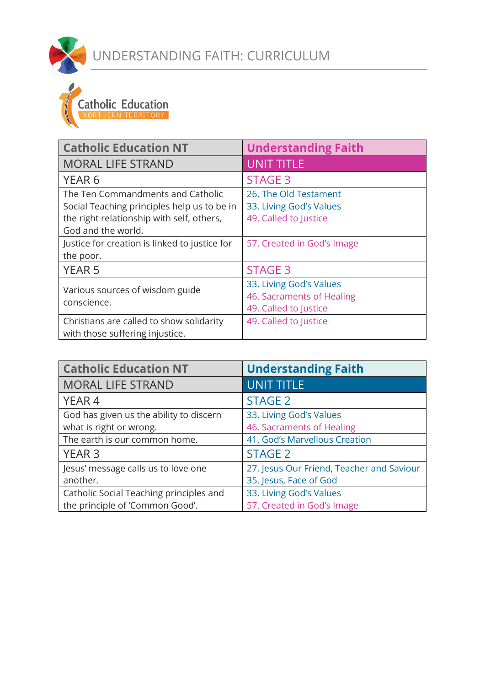



| <b>Catholic Education NT</b>                   | <b>Understanding Faith</b> |
|------------------------------------------------|----------------------------|
| <b>MORAL LIFE STRAND</b>                       | <b>UNIT TITLE</b>          |
| YEAR <sub>6</sub>                              | <b>STAGE 3</b>             |
| The Ten Commandments and Catholic              | 26. The Old Testament      |
| Social Teaching principles help us to be in    | 33. Living God's Values    |
| the right relationship with self, others,      | 49. Called to Justice      |
| God and the world.                             |                            |
| Justice for creation is linked to justice for  | 57. Created in God's Image |
| the poor.                                      |                            |
| <b>YEAR 5</b>                                  | <b>STAGE 3</b>             |
|                                                | 33. Living God's Values    |
| Various sources of wisdom guide<br>conscience. | 46. Sacraments of Healing  |
|                                                | 49. Called to Justice      |
| Christians are called to show solidarity       | 49. Called to Justice      |
| with those suffering injustice.                |                            |

| <b>Catholic Education NT</b>            | <b>Understanding Faith</b>                |
|-----------------------------------------|-------------------------------------------|
| <b>MORAL LIFE STRAND</b>                | <b>UNIT TITLE</b>                         |
| YEAR <sub>4</sub>                       | <b>STAGE 2</b>                            |
| God has given us the ability to discern | 33. Living God's Values                   |
| what is right or wrong.                 | 46. Sacraments of Healing                 |
| The earth is our common home.           | 41. God's Marvellous Creation             |
| <b>YEAR 3</b>                           | <b>STAGE 2</b>                            |
| Jesus' message calls us to love one     | 27. Jesus Our Friend, Teacher and Saviour |
| another.                                | 35. Jesus, Face of God                    |
| Catholic Social Teaching principles and | 33. Living God's Values                   |
| the principle of 'Common Good'.         | 57. Created in God's Image                |